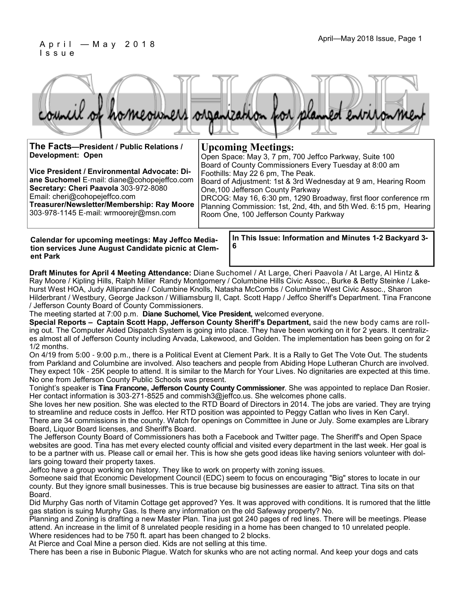#### April—May 2018 Issue, Page 1 A pril—May 2018 Issue, Page 1 I s s u e

|  |  |  | council of homeowners organization for planned environment |
|--|--|--|------------------------------------------------------------|
|  |  |  |                                                            |

| The Facts-President / Public Relations /                                                                                                                                                                                                                      | <b>Upcoming Meetings:</b>                                                                                                                                                                                                                                                                                                                                                             |
|---------------------------------------------------------------------------------------------------------------------------------------------------------------------------------------------------------------------------------------------------------------|---------------------------------------------------------------------------------------------------------------------------------------------------------------------------------------------------------------------------------------------------------------------------------------------------------------------------------------------------------------------------------------|
| <b>Development: Open</b>                                                                                                                                                                                                                                      | Open Space: May 3, 7 pm, 700 Jeffco Parkway, Suite 100                                                                                                                                                                                                                                                                                                                                |
| Vice President / Environmental Advocate: Di-<br>ane Suchomel E-mail: diane@cohopejeffco.com<br>Secretary: Cheri Paavola 303-972-8080<br>Email: cheri@cohopejeffco.com<br>Treasurer/Newsletter/Membership: Ray Moore<br>303-978-1145 E-mail: wrmoorejr@msn.com | Board of County Commissioners Every Tuesday at 8:00 am<br>Foothills: May 22 6 pm, The Peak.<br>Board of Adjustment: 1st & 3rd Wednesday at 9 am, Hearing Room<br>One, 100 Jefferson County Parkway<br>DRCOG: May 16, 6:30 pm, 1290 Broadway, first floor conference rm<br>Planning Commission: 1st, 2nd, 4th, and 5th Wed. 6:15 pm, Hearing<br>Room One, 100 Jefferson County Parkway |
|                                                                                                                                                                                                                                                               |                                                                                                                                                                                                                                                                                                                                                                                       |

**Calendar for upcoming meetings: May Jeffco Mediation services June August Candidate picnic at Clement Park**

**In This Issue: Information and Minutes 1-2 Backyard 3- 6**

**Draft Minutes for April 4 Meeting Attendance:** Diane Suchomel / At Large, Cheri Paavola / At Large, Al Hintz & Ray Moore / Kipling Hills, Ralph Miller Randy Montgomery / Columbine Hills Civic Assoc., Burke & Betty Steinke / Lakehurst West HOA, Judy Alliprandine / Columbine Knolls, Natasha McCombs / Columbine West Civic Assoc., Sharon Hilderbrant / Westbury, George Jackson / Williamsburg II, Capt. Scott Happ / Jeffco Sheriff's Department. Tina Francone / Jefferson County Board of County Commissioners.

The meeting started at 7:00 p.m. **Diane Suchomel, Vice President,** welcomed everyone.

**Special Reports – Captain Scott Happ, Jefferson County Sheriff's Department,** said the new body cams are rolling out. The Computer Aided Dispatch System is going into place. They have been working on it for 2 years. It centralizes almost all of Jefferson County including Arvada, Lakewood, and Golden. The implementation has been going on for 2 1/2 months.

On 4/19 from 5:00 - 9:00 p.m., there is a Political Event at Clement Park. It is a Rally to Get The Vote Out. The students from Parkland and Columbine are involved. Also teachers and people from Abiding Hope Lutheran Church are involved. They expect 10k - 25K people to attend. It is similar to the March for Your Lives. No dignitaries are expected at this time. No one from Jefferson County Public Schools was present.

Tonight's speaker is **Tina Francone, Jefferson County County Commissioner**. She was appointed to replace Dan Rosier. Her contact information is 303-271-8525 and commish3@jeffco.us. She welcomes phone calls.

She loves her new position. She was elected to the RTD Board of Directors in 2014. The jobs are varied. They are trying to streamline and reduce costs in Jeffco. Her RTD position was appointed to Peggy Catlan who lives in Ken Caryl.

There are 34 commissions in the county. Watch for openings on Committee in June or July. Some examples are Library Board, Liquor Board licenses, and Sheriff's Board.

The Jefferson County Board of Commissioners has both a Facebook and Twitter page. The Sheriff's and Open Space websites are good. Tina has met every elected county official and visited every department in the last week. Her goal is to be a partner with us. Please call or email her. This is how she gets good ideas like having seniors volunteer with dollars going toward their property taxes.

Jeffco have a group working on history. They like to work on property with zoning issues.

Someone said that Economic Development Council (EDC) seem to focus on encouraging "Big" stores to locate in our county. But they ignore small businesses. This is true because big businesses are easier to attract. Tina sits on that Board.

Did Murphy Gas north of Vitamin Cottage get approved? Yes. It was approved with conditions. It is rumored that the little gas station is suing Murphy Gas. Is there any information on the old Safeway property? No.

Planning and Zoning is drafting a new Master Plan. Tina just got 240 pages of red lines. There will be meetings. Please attend. An increase in the limit of 8 unrelated people residing in a home has been changed to 10 unrelated people. Where residences had to be 750 ft. apart has been changed to 2 blocks.

At Pierce and Coal Mine a person died. Kids are not selling at this time.

There has been a rise in Bubonic Plague. Watch for skunks who are not acting normal. And keep your dogs and cats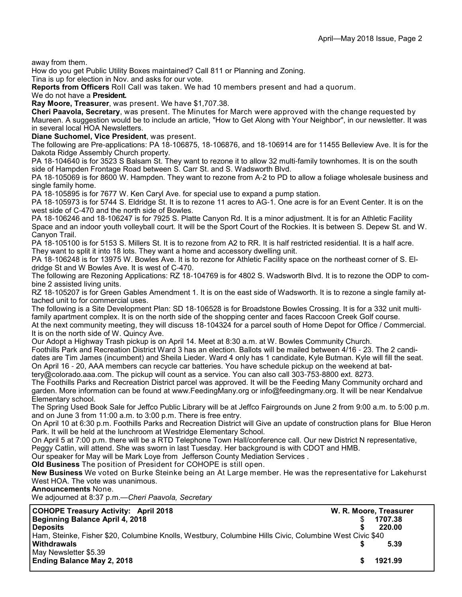away from them.

How do you get Public Utility Boxes maintained? Call 811 or Planning and Zoning.

Tina is up for election in Nov. and asks for our vote.

**Reports from Officers** Roll Call was taken. We had 10 members present and had a quorum.

#### We do not have a **President.**

**Ray Moore, Treasurer**, was present. We have \$1,707.38.

**Cheri Paavola, Secretary**, was present. The Minutes for March were approved with the change requested by Maureen. A suggestion would be to include an article, "How to Get Along with Your Neighbor", in our newsletter. It was in several local HOA Newsletters.

**Diane Suchomel, Vice President**, was present.

The following are Pre-applications: PA 18-106875, 18-106876, and 18-106914 are for 11455 Belleview Ave. It is for the Dakota Ridge Assembly Church property.

PA 18-104640 is for 3523 S Balsam St. They want to rezone it to allow 32 multi-family townhomes. It is on the south side of Hampden Frontage Road between S. Carr St. and S. Wadsworth Blvd.

PA 18-105069 is for 8600 W. Hampden. They want to rezone from A-2 to PD to allow a foliage wholesale business and single family home.

PA 18-105895 is for 7677 W. Ken Caryl Ave. for special use to expand a pump station.

PA 18-105973 is for 5744 S. Eldridge St. It is to rezone 11 acres to AG-1. One acre is for an Event Center. It is on the west side of C-470 and the north side of Bowles.

PA 18-106246 and 18-106247 is for 7925 S. Platte Canyon Rd. It is a minor adjustment. It is for an Athletic Facility Space and an indoor youth volleyball court. It will be the Sport Court of the Rockies. It is between S. Depew St. and W. Canyon Trail.

PA 18-105100 is for 5153 S. Millers St. It is to rezone from A2 to RR. It is half restricted residential. It is a half acre. They want to split it into 18 lots. They want a home and accessory dwelling unit.

PA 18-106248 is for 13975 W. Bowles Ave. It is to rezone for Athletic Facility space on the northeast corner of S. Eldridge St and W Bowles Ave. It is west of C-470.

The following are Rezoning Applications: RZ 18-104769 is for 4802 S. Wadsworth Blvd. It is to rezone the ODP to combine 2 assisted living units.

RZ 18-105207 is for Green Gables Amendment 1. It is on the east side of Wadsworth. It is to rezone a single family attached unit to for commercial uses.

The following is a Site Development Plan: SD 18-106528 is for Broadstone Bowles Crossing. It is for a 332 unit multifamily apartment complex. It is on the north side of the shopping center and faces Raccoon Creek Golf course.

At the next community meeting, they will discuss 18-104324 for a parcel south of Home Depot for Office / Commercial. It is on the north side of W. Quincy Ave.

Our Adopt a Highway Trash pickup is on April 14. Meet at 8:30 a.m. at W. Bowles Community Church. Foothills Park and Recreation District Ward 3 has an election. Ballots will be mailed between 4/16 - 23. The 2 candidates are Tim James (incumbent) and Sheila Lieder. Ward 4 only has 1 candidate, Kyle Butman. Kyle will fill the seat. On April 16 - 20, AAA members can recycle car batteries. You have schedule pickup on the weekend at bat-

tery@colorado.aaa.com. The pickup will count as a service. You can also call 303-753-8800 ext. 8273.

The Foothills Parks and Recreation District parcel was approved. It will be the Feeding Many Community orchard and garden. More information can be found at www.FeedingMany.org or info@feedingmany.org. It will be near Kendalvue Elementary school.

The Spring Used Book Sale for Jeffco Public Library will be at Jeffco Fairgrounds on June 2 from 9:00 a.m. to 5:00 p.m. and on June 3 from 11:00 a.m. to 3:00 p.m. There is free entry.

On April 10 at 6:30 p.m. Foothills Parks and Recreation District will Give an update of construction plans for Blue Heron Park. It will be held at the lunchroom at Westridge Elementary School.

On April 5 at 7:00 p.m. there will be a RTD Telephone Town Hall/conference call. Our new District N representative,

Peggy Catlin, will attend. She was sworn in last Tuesday. Her background is with CDOT and HMB.

Our speaker for May will be Mark Loye from Jefferson County Mediation Services .

**Old Business** The position of President for COHOPE is still open.

**New Business** We voted on Burke Steinke being an At Large member. He was the representative for Lakehurst West HOA. The vote was unanimous.

**Announcements** None.

We adjourned at 8:37 p.m.—*Cheri Paavola, Secretary*

| <b>COHOPE Treasury Activity: April 2018</b>                                                             | W. R. Moore, Treasurer |  |
|---------------------------------------------------------------------------------------------------------|------------------------|--|
| Beginning Balance April 4, 2018                                                                         | 1707.38                |  |
| <b>Deposits</b>                                                                                         | 220.00                 |  |
| Ham, Steinke, Fisher \$20, Columbine Knolls, Westbury, Columbine Hills Civic, Columbine West Civic \$40 |                        |  |
| <b>Withdrawals</b>                                                                                      | 5.39                   |  |
| May Newsletter \$5.39                                                                                   |                        |  |
| <b>Ending Balance May 2, 2018</b>                                                                       | 1921.99                |  |
|                                                                                                         |                        |  |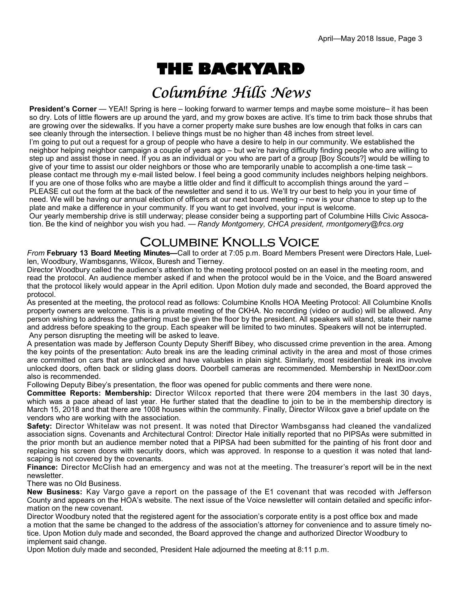# **THE BACKYARD**

# Columbine Hills News

**President's Corner** — YEA!! Spring is here – looking forward to warmer temps and maybe some moisture– it has been so dry. Lots of little flowers are up around the yard, and my grow boxes are active. It's time to trim back those shrubs that are growing over the sidewalks. If you have a corner property make sure bushes are low enough that folks in cars can see cleanly through the intersection. I believe things must be no higher than 48 inches from street level. I'm going to put out a request for a group of people who have a desire to help in our community. We established the neighbor helping neighbor campaign a couple of years ago – but we're having difficulty finding people who are willing to step up and assist those in need. If you as an individual or you who are part of a group [Boy Scouts?] would be willing to give of your time to assist our older neighbors or those who are temporarily unable to accomplish a one-time task – please contact me through my e-mail listed below. I feel being a good community includes neighbors helping neighbors. If you are one of those folks who are maybe a little older and find it difficult to accomplish things around the yard – PLEASE cut out the form at the back of the newsletter and send it to us. We'll try our best to help you in your time of need. We will be having our annual election of officers at our next board meeting – now is your chance to step up to the plate and make a difference in your community. If you want to get involved, your input is welcome.

Our yearly membership drive is still underway; please consider being a supporting part of Columbine Hills Civic Assocation. Be the kind of neighbor you wish you had. — *Randy Montgomery, CHCA president, rmontgomery@frcs.org*

### **COLUMBINE KNOLLS VOICE**

*From* **February 13 Board Meeting Minutes—**Call to order at 7:05 p.m. Board Members Present were Directors Hale, Luellen, Woodbury, Wambsganns, Wilcox, Buresh and Tierney.

Director Woodbury called the audience's attention to the meeting protocol posted on an easel in the meeting room, and read the protocol. An audience member asked if and when the protocol would be in the Voice, and the Board answered that the protocol likely would appear in the April edition. Upon Motion duly made and seconded, the Board approved the protocol.

As presented at the meeting, the protocol read as follows: Columbine Knolls HOA Meeting Protocol: All Columbine Knolls property owners are welcome. This is a private meeting of the CKHA. No recording (video or audio) will be allowed. Any person wishing to address the gathering must be given the floor by the president. All speakers will stand, state their name and address before speaking to the group. Each speaker will be limited to two minutes. Speakers will not be interrupted. Any person disrupting the meeting will be asked to leave.

A presentation was made by Jefferson County Deputy Sheriff Bibey, who discussed crime prevention in the area. Among the key points of the presentation: Auto break ins are the leading criminal activity in the area and most of those crimes are committed on cars that are unlocked and have valuables in plain sight. Similarly, most residential break ins involve unlocked doors, often back or sliding glass doors. Doorbell cameras are recommended. Membership in NextDoor.com also is recommended.

Following Deputy Bibey's presentation, the floor was opened for public comments and there were none.

**Committee Reports: Membership:** Director Wilcox reported that there were 204 members in the last 30 days, which was a pace ahead of last year. He further stated that the deadline to join to be in the membership directory is March 15, 2018 and that there are 1008 houses within the community. Finally, Director Wilcox gave a brief update on the vendors who are working with the association.

**Safety:** Director Whitelaw was not present. It was noted that Director Wambsganss had cleaned the vandalized association signs. Covenants and Architectural Control: Director Hale initially reported that no PIPSAs were submitted in the prior month but an audience member noted that a PIPSA had been submitted for the painting of his front door and replacing his screen doors with security doors, which was approved. In response to a question it was noted that landscaping is not covered by the covenants.

**Finance:** Director McClish had an emergency and was not at the meeting. The treasurer's report will be in the next newsletter.

There was no Old Business.

**New Business:** Kay Vargo gave a report on the passage of the E1 covenant that was recoded with Jefferson County and appears on the HOA's website. The next issue of the Voice newsletter will contain detailed and specific information on the new covenant.

Director Woodbury noted that the registered agent for the association's corporate entity is a post office box and made a motion that the same be changed to the address of the association's attorney for convenience and to assure timely notice. Upon Motion duly made and seconded, the Board approved the change and authorized Director Woodbury to implement said change.

Upon Motion duly made and seconded, President Hale adjourned the meeting at 8:11 p.m.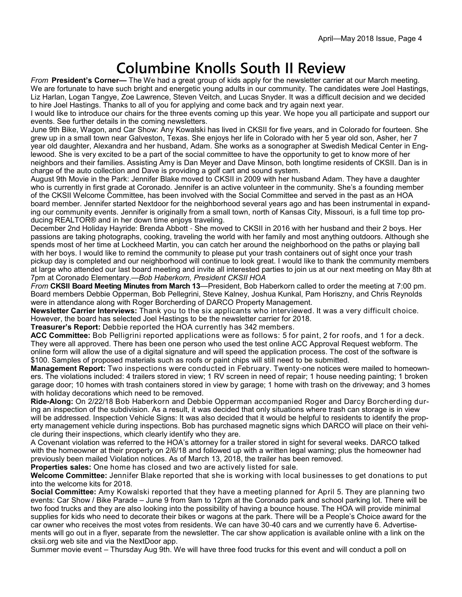# **Columbine Knolls South II Review**

*From* **President's Corner—** The We had a great group of kids apply for the newsletter carrier at our March meeting. We are fortunate to have such bright and energetic young adults in our community. The candidates were Joel Hastings, Liz Harlan, Logan Tangye, Zoe Lawrence, Steven Veitch, and Lucas Snyder. It was a difficult decision and we decided to hire Joel Hastings. Thanks to all of you for applying and come back and try again next year.

I would like to introduce our chairs for the three events coming up this year. We hope you all participate and support our events. See further details in the coming newsletters.

June 9th Bike, Wagon, and Car Show: Any Kowalski has lived in CKSII for five years, and in Colorado for fourteen. She grew up in a small town near Galveston, Texas. She enjoys her life in Colorado with her 5 year old son, Asher, her 7 year old daughter, Alexandra and her husband, Adam. She works as a sonographer at Swedish Medical Center in Englewood. She is very excited to be a part of the social committee to have the opportunity to get to know more of her neighbors and their families. Assisting Amy is Dan Meyer and Dave Minson, both longtime residents of CKSII. Dan is in charge of the auto collection and Dave is providing a golf cart and sound system.

August 9th Movie in the Park: Jennifer Blake moved to CKSII in 2009 with her husband Adam. They have a daughter who is currently in first grade at Coronado. Jennifer is an active volunteer in the community. She's a founding member of the CKSII Welcome Committee, has been involved with the Social Committee and served in the past as an HOA board member. Jennifer started Nextdoor for the neighborhood several years ago and has been instrumental in expanding our community events. Jennifer is originally from a small town, north of Kansas City, Missouri, is a full time top producing REALTOR® and in her down time enjoys traveling.

December 2nd Holiday Hayride: Brenda Abbott - She moved to CKSII in 2016 with her husband and their 2 boys. Her passions are taking photographs, cooking, traveling the world with her family and most anything outdoors. Although she spends most of her time at Lockheed Martin, you can catch her around the neighborhood on the paths or playing ball with her boys. I would like to remind the community to please put your trash containers out of sight once your trash pickup day is completed and our neighborhood will continue to look great. I would like to thank the community members at large who attended our last board meeting and invite all interested parties to join us at our next meeting on May 8th at 7pm at Coronado Elementary.—*Bob Haberkorn, President CKSII HOA*

*From* **CKSII Board Meeting Minutes from March 13**—President, Bob Haberkorn called to order the meeting at 7:00 pm. Board members Debbie Opperman, Bob Pellegrini, Steve Kalney, Joshua Kunkal, Pam Horiszny, and Chris Reynolds were in attendance along with Roger Borcherding of DARCO Property Management.

**Newsletter Carrier Interviews:** Thank you to the six applicants who interviewed. It was a very difficult choice. However, the board has selected Joel Hastings to be the newsletter carrier for 2018.

**Treasurer's Report:** Debbie reported the HOA currently has 342 members.

**ACC Committee:** Bob Pelligrini reported applications were as follows: 5 for paint, 2 for roofs, and 1 for a deck. They were all approved. There has been one person who used the test online ACC Approval Request webform. The online form will allow the use of a digital signature and will speed the application process. The cost of the software is \$100. Samples of proposed materials such as roofs or paint chips will still need to be submitted.

**Management Report:** Two inspections were conducted in February. Twenty-one notices were mailed to homeowners. The violations included: 4 trailers stored in view; 1 RV screen in need of repair; 1 house needing painting; 1 broken garage door; 10 homes with trash containers stored in view by garage; 1 home with trash on the driveway; and 3 homes with holiday decorations which need to be removed.

**Ride-Along:** On 2/22/18 Bob Haberkorn and Debbie Opperman accompanied Roger and Darcy Borcherding during an inspection of the subdivision. As a result, it was decided that only situations where trash can storage is in view will be addressed. Inspection Vehicle Signs: It was also decided that it would be helpful to residents to identify the property management vehicle during inspections. Bob has purchased magnetic signs which DARCO will place on their vehicle during their inspections, which clearly identify who they are.

A Covenant violation was referred to the HOA's attorney for a trailer stored in sight for several weeks. DARCO talked with the homeowner at their property on 2/6/18 and followed up with a written legal warning; plus the homeowner had previously been mailed Violation notices. As of March 13, 2018, the trailer has been removed.

**Properties sales:** One home has closed and two are actively listed for sale.

**Welcome Committee:** Jennifer Blake reported that she is working with local businesses to get donations to put into the welcome kits for 2018.

**Social Committee:** Amy Kowalski reported that they have a meeting planned for April 5. They are planning two events: Car Show / Bike Parade – June 9 from 9am to 12pm at the Coronado park and school parking lot. There will be two food trucks and they are also looking into the possibility of having a bounce house. The HOA will provide minimal supplies for kids who need to decorate their bikes or wagons at the park. There will be a People's Choice award for the car owner who receives the most votes from residents. We can have 30-40 cars and we currently have 6. Advertisements will go out in a flyer, separate from the newsletter. The car show application is available online with a link on the cksii.org web site and via the NextDoor app.

Summer movie event – Thursday Aug 9th. We will have three food trucks for this event and will conduct a poll on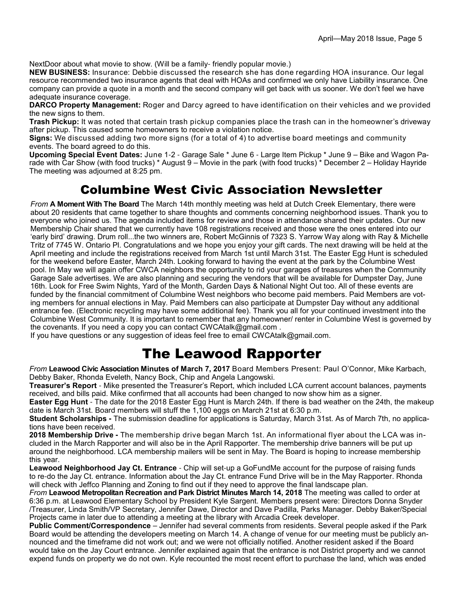NextDoor about what movie to show. (Will be a family- friendly popular movie.)

**NEW BUSINESS:** Insurance: Debbie discussed the research she has done regarding HOA insurance. Our legal resource recommended two insurance agents that deal with HOAs and confirmed we only have Liability insurance. One company can provide a quote in a month and the second company will get back with us sooner. We don't feel we have adequate insurance coverage.

**DARCO Property Management:** Roger and Darcy agreed to have identification on their vehicles and we provided the new signs to them.

**Trash Pickup:** It was noted that certain trash pickup companies place the trash can in the homeowner's driveway after pickup. This caused some homeowners to receive a violation notice.

**Signs:** We discussed adding two more signs (for a total of 4) to advertise board meetings and community events. The board agreed to do this.

**Upcoming Special Event Dates:** June 1-2 - Garage Sale \* June 6 - Large Item Pickup \* June 9 – Bike and Wagon Parade with Car Show (with food trucks) \* August 9 – Movie in the park (with food trucks) \* December 2 – Holiday Hayride The meeting was adjourned at 8:25 pm.

### Columbine West Civic Association Newsletter

*From* **A Moment With The Board** The March 14th monthly meeting was held at Dutch Creek Elementary, there were about 20 residents that came together to share thoughts and comments concerning neighborhood issues. Thank you to everyone who joined us. The agenda included items for review and those in attendance shared their updates. Our new Membership Chair shared that we currently have 108 registrations received and those were the ones entered into our 'early bird' drawing. Drum roll...the two winners are, Robert McGinnis of 7323 S. Yarrow Way along with Ray & Michelle Tritz of 7745 W. Ontario Pl. Congratulations and we hope you enjoy your gift cards. The next drawing will be held at the April meeting and include the registrations received from March 1st until March 31st. The Easter Egg Hunt is scheduled for the weekend before Easter, March 24th. Looking forward to having the event at the park by the Columbine West pool. In May we will again offer CWCA neighbors the opportunity to rid your garages of treasures when the Community Garage Sale advertises. We are also planning and securing the vendors that will be available for Dumpster Day, June 16th. Look for Free Swim Nights, Yard of the Month, Garden Days & National Night Out too. All of these events are funded by the financial commitment of Columbine West neighbors who become paid members. Paid Members are voting members for annual elections in May. Paid Members can also participate at Dumpster Day without any additional entrance fee. (Electronic recycling may have some additional fee). Thank you all for your continued investment into the Columbine West Community. It is important to remember that any homeowner/ renter in Columbine West is governed by the covenants. If you need a copy you can contact CWCAtalk@gmail.com .

If you have questions or any suggestion of ideas feel free to email CWCAtalk@gmail.com.

### The Leawood Rapporter

*From* **Leawood Civic Association Minutes of March 7, 2017** Board Members Present: Paul O'Connor, Mike Karbach, Debby Baker, Rhonda Eveleth, Nancy Bock, Chip and Angela Langowski.

**Treasurer's Report** - Mike presented the Treasurer's Report, which included LCA current account balances, payments received, and bills paid. Mike confirmed that all accounts had been changed to now show him as a signer.

**Easter Egg Hunt** - The date for the 2018 Easter Egg Hunt is March 24th. If there is bad weather on the 24th, the makeup date is March 31st. Board members will stuff the 1,100 eggs on March 21st at 6:30 p.m.

**Student Scholarships -** The submission deadline for applications is Saturday, March 31st. As of March 7th, no applications have been received.

**2018 Membership Drive -** The membership drive began March 1st. An informational flyer about the LCA was included in the March Rapporter and will also be in the April Rapporter. The membership drive banners will be put up around the neighborhood. LCA membership mailers will be sent in May. The Board is hoping to increase membership this year.

**Leawood Neighborhood Jay Ct. Entrance** - Chip will set-up a GoFundMe account for the purpose of raising funds to re-do the Jay Ct. entrance. Information about the Jay Ct. entrance Fund Drive will be in the May Rapporter. Rhonda will check with Jeffco Planning and Zoning to find out if they need to approve the final landscape plan.

*From* **Leawood Metropolitan Recreation and Park District Minutes March 14, 2018** The meeting was called to order at 6:36 p.m. at Leawood Elementary School by President Kyle Sargent. Members present were: Directors Donna Snyder /Treasurer, Linda Smith/VP Secretary, Jennifer Dawe, Director and Dave Padilla, Parks Manager. Debby Baker/Special Projects came in later due to attending a meeting at the library with Arcadia Creek developer.

**Public Comment/Correspondence** – Jennifer had several comments from residents. Several people asked if the Park Board would be attending the developers meeting on March 14. A change of venue for our meeting must be publicly announced and the timeframe did not work out; and we were not officially notified. Another resident asked if the Board would take on the Jay Court entrance. Jennifer explained again that the entrance is not District property and we cannot expend funds on property we do not own. Kyle recounted the most recent effort to purchase the land, which was ended